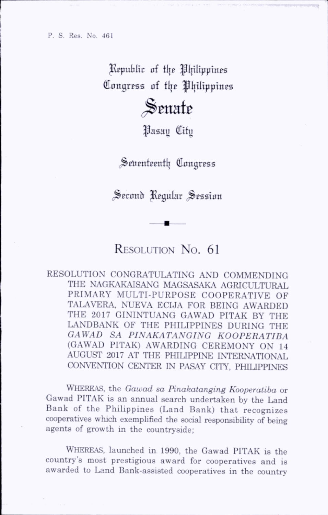Republic of the Philippines Congress of the Philippines

## Senate

^asau Citu

Seventeenth Congress

Second Regular Session

## RESOLUTION No. 61

RESOLUTION CONGRATULATING AND COMMENDING THE NAGKAKAISANG MAGSASAKA AGRICULTURAL PRIMARY MULTI-PURPOSE COOPERATIVE OF TALA VERA, NUEVA ECIJA FOR BEING AWARDED THE 2017 GININTUANG GAWAD PITAK BY THE LANDBANK OF THE PHILIPPINES DURING THE GAWAD SA PINAKATANGING KOOPERATIBA (GAWAD PITAK) AWARDING CEREMONY ON 14 AUGUST 2017 AT THE PHIUPPINE INTERNATIONAL CONVENTION CENTER IN PASAY CITY, PHILIPPINES

WHEREAS, the Gawad sa Pinakatanging Kooperatiba or Gawad PITAK is an annual search undertaken by the Land Bank of the Philippines (Land Bank) that recognizes cooperatives which exemplified the social responsibility of being agents of growth in the countryside;

Whereas, launched in 1990, the Gawad PITAK is the country's most prestigious award for cooperatives and is awarded to Land Bank-assisted cooperatives in the country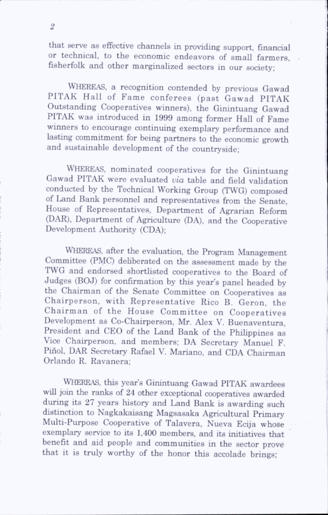that serve as effective channels in providing support, financial or technical, to the economic endeavors of small farmers, fisherfolk and other marginalized sectors in our society;

Whereas, a recognition contended by previous Gawad PITAK Hall of Fame conferees (past Gawad PITAK Outstanding Cooperatives winners), the Ginintuang Gawad PITAK was introduced in 1999 among former Hall of Fame winners to encourage continuing exemplary performance and lasting commitment for being partners to the economic growth and sustainable development of the countryside;

Whereas, nominated cooperatives for the Ginintuang Gawad PITAK were evaluated via table and field validation conducted by the Technical Working Group (TWG) composed of Land Bank personnel and representatives from the Senate, House of Representatives, Department of Agrarian Reform (DAR), Department of Agriculture (DA), and the Cooperative Development Authority (CDA);

Whereas, after the evaluation, the Program Management Committee (PMC) dehberated on the assessment made by the TWG and endorsed shortlisted cooperatives to the Board of Judges (BOJ) for confirmation by this year's panel headed by the Chairman of the Senate Committee on Cooperatives as Chairperson, with Representative Rico B. Geron, the Chairm an of the House Committee on Cooperatives Development as Co-Chairperson, Mr. Alex V. Buenaventura, President and CEO of the Land Bank of the Philippines as Vice Chairperson, and members; DA Secretary Manuel F. Piñol, DAR Secretary Rafael V. Mariano, and CDA Chairman Orlando R. Ravanera;

WHEREAS, this year's Ginintuang Gawad PITAK awardees will join the ranks of 24 other exceptional cooperatives awarded during its 27 years history and Land Bank is awarding such distinction to Nagkakaisang Magsasaka Agricultural Primary Multi-Purpose Cooperative of Talavera, Nueva Ecija whose exemplary service to its 1,400 members, and its initiatives that benefit and aid people and communities in the sector prove that it is truly worthy of the honor this accolade brings;